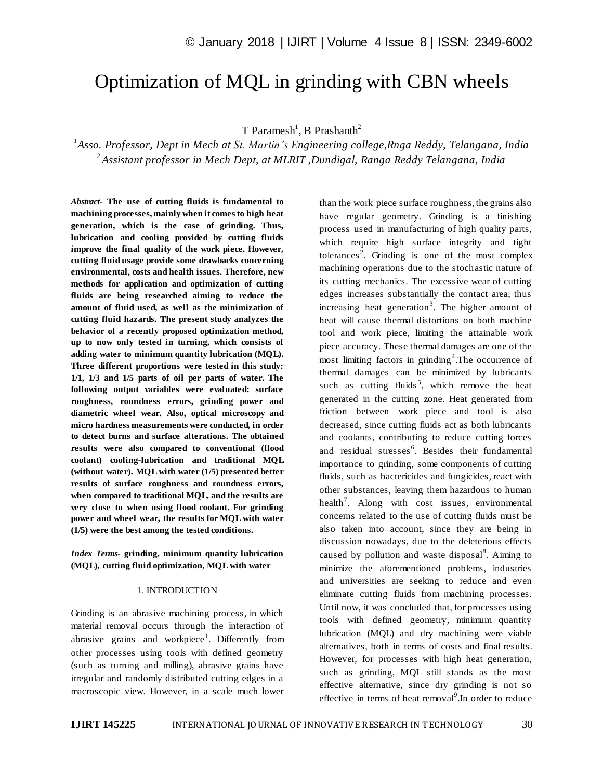# Optimization of MQL in grinding with CBN wheels

 $T$  Paramesh<sup>1</sup>, B Prashanth<sup>2</sup>

*1 Asso. Professor, Dept in Mech at St. Martin's Engineering college,Rnga Reddy, Telangana, India 2 Assistant professor in Mech Dept, at MLRIT ,Dundigal, Ranga Reddy Telangana, India*

*Abstract*- **The use of cutting fluids is fundamental to machining processes, mainly when it comes to high heat generation, which is the case of grinding. Thus, lubrication and cooling provided by cutting fluids improve the final quality of the work piece. However, cutting fluid usage provide some drawbacks concerning environmental, costs and health issues. Therefore, new methods for application and optimization of cutting fluids are being researched aiming to reduce the amount of fluid used, as well as the minimization of cutting fluid hazards. The present study analyzes the behavior of a recently proposed optimization method, up to now only tested in turning, which consists of adding water to minimum quantity lubrication (MQL). Three different proportions were tested in this study: 1/1, 1/3 and 1/5 parts of oil per parts of water. The following output variables were evaluated: surface roughness, roundness errors, grinding power and diametric wheel wear. Also, optical microscopy and micro hardness measurements were conducted, in order to detect burns and surface alterations. The obtained results were also compared to conventional (flood coolant) cooling-lubrication and traditional MQL (without water). MQL with water (1/5) presented better results of surface roughness and roundness errors, when compared to traditional MQL, and the results are very close to when using flood coolant. For grinding power and wheel wear, the results for MQL with water (1/5) were the best among the tested conditions.**

*Index Terms***- grinding, minimum quantity lubrication (MQL), cutting fluid optimization, MQL with water**

#### 1. INTRODUCTION

Grinding is an abrasive machining process, in which material removal occurs through the interaction of abrasive grains and workpiece<sup>1</sup>. Differently from other processes using tools with defined geometry (such as turning and milling), abrasive grains have irregular and randomly distributed cutting edges in a macroscopic view. However, in a scale much lower

than the work piece surface roughness, the grains also have regular geometry. Grinding is a finishing process used in manufacturing of high quality parts, which require high surface integrity and tight tolerances<sup>2</sup>. Grinding is one of the most complex machining operations due to the stochastic nature of its cutting mechanics. The excessive wear of cutting edges increases substantially the contact area, thus increasing heat generation<sup>3</sup>. The higher amount of heat will cause thermal distortions on both machine tool and work piece, limiting the attainable work piece accuracy. These thermal damages are one of the most limiting factors in grinding<sup>4</sup>. The occurrence of thermal damages can be minimized by lubricants such as cutting fluids<sup>5</sup>, which remove the heat generated in the cutting zone. Heat generated from friction between work piece and tool is also decreased, since cutting fluids act as both lubricants and coolants, contributing to reduce cutting forces and residual stresses<sup>6</sup>. Besides their fundamental importance to grinding, some components of cutting fluids, such as bactericides and fungicides, react with other substances, leaving them hazardous to human health<sup>7</sup>. Along with cost issues, environmental concerns related to the use of cutting fluids must be also taken into account, since they are being in discussion nowadays, due to the deleterious effects caused by pollution and waste disposal<sup>8</sup>. Aiming to minimize the aforementioned problems, industries and universities are seeking to reduce and even eliminate cutting fluids from machining processes. Until now, it was concluded that, for processes using tools with defined geometry, minimum quantity lubrication (MQL) and dry machining were viable alternatives, both in terms of costs and final results. However, for processes with high heat generation, such as grinding, MQL still stands as the most effective alternative, since dry grinding is not so effective in terms of heat removal $9$ . In order to reduce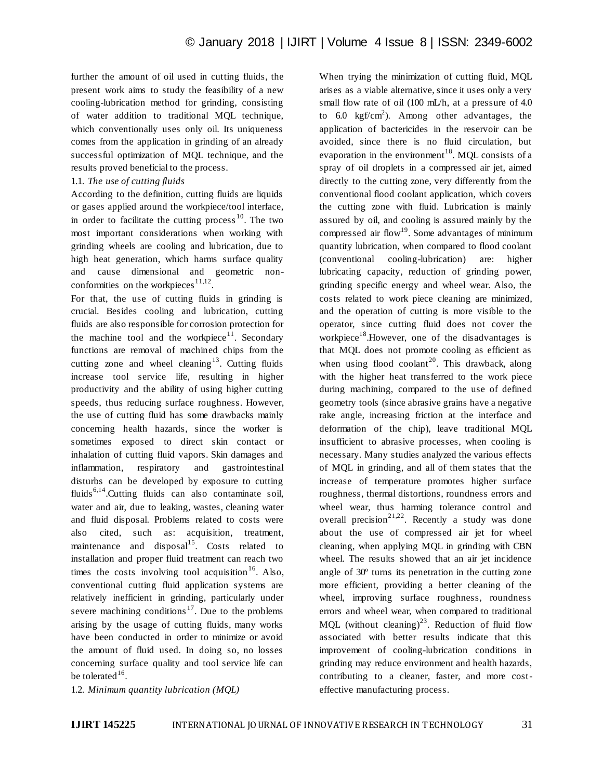further the amount of oil used in cutting fluids, the present work aims to study the feasibility of a new cooling-lubrication method for grinding, consisting of water addition to traditional MQL technique, which conventionally uses only oil. Its uniqueness comes from the application in grinding of an already successful optimization of MQL technique, and the results proved beneficial to the process.

## 1.1. *The use of cutting fluids*

According to the definition, cutting fluids are liquids or gases applied around the workpiece/tool interface, in order to facilitate the cutting process  $10$ . The two most important considerations when working with grinding wheels are cooling and lubrication, due to high heat generation, which harms surface quality and cause dimensional and geometric nonconformities on the workpieces  $11,12$ .

For that, the use of cutting fluids in grinding is crucial. Besides cooling and lubrication, cutting fluids are also responsible for corrosion protection for the machine tool and the workpiece $11$ . Secondary functions are removal of machined chips from the cutting zone and wheel cleaning<sup>13</sup>. Cutting fluids increase tool service life, resulting in higher productivity and the ability of using higher cutting speeds, thus reducing surface roughness. However, the use of cutting fluid has some drawbacks mainly concerning health hazards, since the worker is sometimes exposed to direct skin contact or inhalation of cutting fluid vapors. Skin damages and inflammation, respiratory and gastrointestinal disturbs can be developed by exposure to cutting fluids<sup>6,14</sup>. Cutting fluids can also contaminate soil, water and air, due to leaking, wastes, cleaning water and fluid disposal. Problems related to costs were also cited, such as: acquisition, treatment, maintenance and disposal<sup>15</sup>. Costs related to installation and proper fluid treatment can reach two times the costs involving tool acquisition<sup>16</sup>. Also, conventional cutting fluid application systems are relatively inefficient in grinding, particularly under severe machining conditions<sup>17</sup>. Due to the problems arising by the usage of cutting fluids, many works have been conducted in order to minimize or avoid the amount of fluid used. In doing so, no losses concerning surface quality and tool service life can be tolerated  $16$ .

When trying the minimization of cutting fluid, MQL arises as a viable alternative, since it uses only a very small flow rate of oil (100 mL/h, at a pressure of 4.0 to 6.0  $\text{kgf/cm}^2$ ). Among other advantages, the application of bactericides in the reservoir can be avoided, since there is no fluid circulation, but evaporation in the environment<sup>18</sup>. MQL consists of a spray of oil droplets in a compressed air jet, aimed directly to the cutting zone, very differently from the conventional flood coolant application, which covers the cutting zone with fluid. Lubrication is mainly assured by oil, and cooling is assured mainly by the compressed air flow<sup>19</sup>. Some advantages of minimum quantity lubrication, when compared to flood coolant (conventional cooling-lubrication) are: higher lubricating capacity, reduction of grinding power, grinding specific energy and wheel wear. Also, the costs related to work piece cleaning are minimized, and the operation of cutting is more visible to the operator, since cutting fluid does not cover the workpiece<sup>18</sup>. However, one of the disadvantages is that MQL does not promote cooling as efficient as when using flood coolant<sup>20</sup>. This drawback, along with the higher heat transferred to the work piece during machining, compared to the use of defined geometry tools (since abrasive grains have a negative rake angle, increasing friction at the interface and deformation of the chip), leave traditional MQL insufficient to abrasive processes, when cooling is necessary. Many studies analyzed the various effects of MQL in grinding, and all of them states that the increase of temperature promotes higher surface roughness, thermal distortions, roundness errors and wheel wear, thus harming tolerance control and overall precision<sup>21,22</sup>. Recently a study was done about the use of compressed air jet for wheel cleaning, when applying MQL in grinding with CBN wheel. The results showed that an air jet incidence angle of 30º turns its penetration in the cutting zone more efficient, providing a better cleaning of the wheel, improving surface roughness, roundness errors and wheel wear, when compared to traditional MQL (without cleaning)<sup>23</sup>. Reduction of fluid flow associated with better results indicate that this improvement of cooling-lubrication conditions in grinding may reduce environment and health hazards, contributing to a cleaner, faster, and more costeffective manufacturing process.

1.2. *Minimum quantity lubrication (MQL)*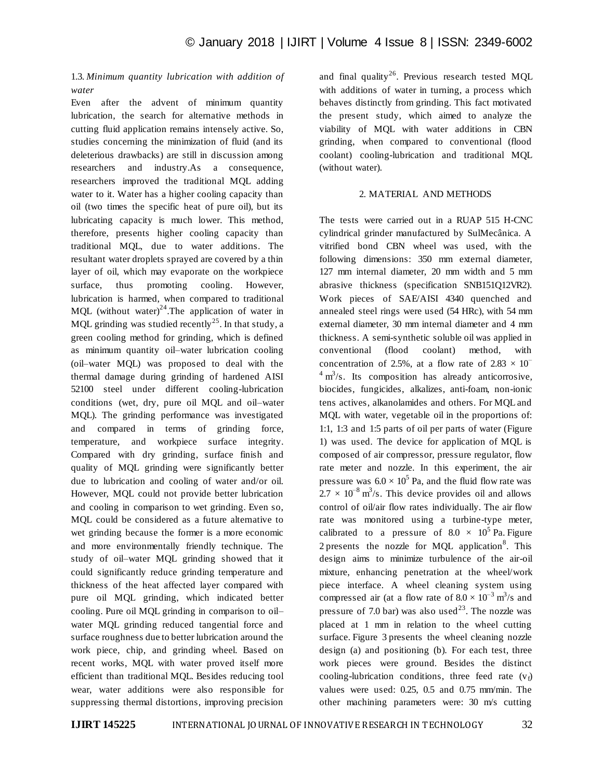## 1.3. *Minimum quantity lubrication with addition of water*

Even after the advent of minimum quantity lubrication, the search for alternative methods in cutting fluid application remains intensely active. So, studies concerning the minimization of fluid (and its deleterious drawbacks) are still in discussion among researchers and industry.As a consequence, researchers improved the traditional MQL adding water to it. Water has a higher cooling capacity than oil (two times the specific heat of pure oil), but its lubricating capacity is much lower. This method, therefore, presents higher cooling capacity than traditional MQL, due to water additions. The resultant water droplets sprayed are covered by a thin layer of oil, which may evaporate on the workpiece surface, thus promoting cooling. However, lubrication is harmed, when compared to traditional MQL (without water)<sup>24</sup>.The application of water in MQL grinding was studied recently<sup>25</sup>. In that study, a green cooling method for grinding, which is defined as minimum quantity oil–water lubrication cooling (oil–water MQL) was proposed to deal with the thermal damage during grinding of hardened AISI 52100 steel under different cooling-lubrication conditions (wet, dry, pure oil MQL and oil–water MQL). The grinding performance was investigated and compared in terms of grinding force, temperature, and workpiece surface integrity. Compared with dry grinding, surface finish and quality of MQL grinding were significantly better due to lubrication and cooling of water and/or oil. However, MQL could not provide better lubrication and cooling in comparison to wet grinding. Even so, MQL could be considered as a future alternative to wet grinding because the former is a more economic and more environmentally friendly technique. The study of oil–water MQL grinding showed that it could significantly reduce grinding temperature and thickness of the heat affected layer compared with pure oil MQL grinding, which indicated better cooling. Pure oil MQL grinding in comparison to oil– water MQL grinding reduced tangential force and surface roughness due to better lubrication around the work piece, chip, and grinding wheel. Based on recent works, MQL with water proved itself more efficient than traditional MQL. Besides reducing tool wear, water additions were also responsible for suppressing thermal distortions, improving precision

and final quality<sup>26</sup>. Previous research tested MQL with additions of water in turning, a process which behaves distinctly from grinding. This fact motivated the present study, which aimed to analyze the viability of MQL with water additions in CBN grinding, when compared to conventional (flood coolant) cooling-lubrication and traditional MQL (without water).

#### 2. MATERIAL AND METHODS

The tests were carried out in a RUAP 515 H-CNC cylindrical grinder manufactured by SulMecânica. A vitrified bond CBN wheel was used, with the following dimensions: 350 mm external diameter, 127 mm internal diameter, 20 mm width and 5 mm abrasive thickness (specification SNB151Q12VR2). Work pieces of SAE/AISI 4340 quenched and annealed steel rings were used (54 HRc), with 54 mm external diameter, 30 mm internal diameter and 4 mm thickness. A semi-synthetic soluble oil was applied in conventional (flood coolant) method, with concentration of 2.5%, at a flow rate of  $2.83 \times 10^{-7}$  $4 \text{ m}^3$ /s. Its composition has already anticorrosive, biocides, fungicides, alkalizes, anti-foam, non-ionic tens actives, alkanolamides and others. For MQL and MQL with water, vegetable oil in the proportions of: 1:1, 1:3 and 1:5 parts of oil per parts of water (Figure 1) was used. The device for application of MQL is composed of air compressor, pressure regulator, flow rate meter and nozzle. In this experiment, the air pressure was  $6.0 \times 10^5$  Pa, and the fluid flow rate was  $2.7 \times 10^{-8}$  m<sup>3</sup>/s. This device provides oil and allows control of oil/air flow rates individually. The air flow rate was monitored using a turbine-type meter, calibrated to a pressure of  $8.0 \times 10^5$  Pa. Figure 2 presents the nozzle for MQL application<sup>8</sup>. This design aims to minimize turbulence of the air-oil mixture, enhancing penetration at the wheel/work piece interface. A wheel cleaning system using compressed air (at a flow rate of  $8.0 \times 10^{-3}$  m<sup>3</sup>/s and pressure of 7.0 bar) was also used<sup>23</sup>. The nozzle was placed at 1 mm in relation to the wheel cutting surface. Figure 3 presents the wheel cleaning nozzle design (a) and positioning (b). For each test, three work pieces were ground. Besides the distinct cooling-lubrication conditions, three feed rate  $(v_f)$ values were used: 0.25, 0.5 and 0.75 mm/min. The other machining parameters were: 30 m/s cutting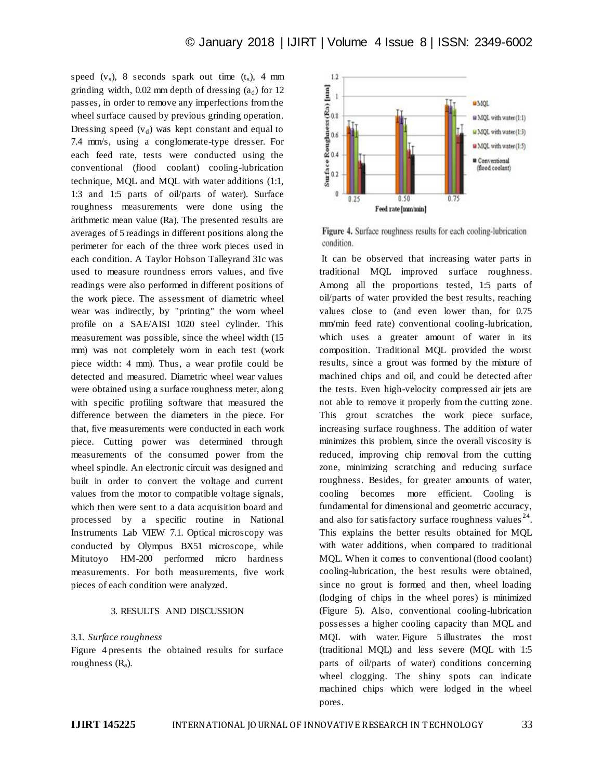speed  $(v<sub>s</sub>)$ , 8 seconds spark out time  $(t<sub>s</sub>)$ , 4 mm grinding width,  $0.02$  mm depth of dressing  $(a_d)$  for 12 passes, in order to remove any imperfections from the wheel surface caused by previous grinding operation. Dressing speed  $(v_d)$  was kept constant and equal to 7.4 mm/s, using a conglomerate-type dresser. For each feed rate, tests were conducted using the conventional (flood coolant) cooling-lubrication technique, MQL and MQL with water additions (1:1, 1:3 and 1:5 parts of oil/parts of water). Surface roughness measurements were done using the arithmetic mean value (Ra). The presented results are averages of 5 readings in different positions along the perimeter for each of the three work pieces used in each condition. A Taylor Hobson Talleyrand 31c was used to measure roundness errors values, and five readings were also performed in different positions of the work piece. The assessment of diametric wheel wear was indirectly, by "printing" the worn wheel profile on a SAE/AISI 1020 steel cylinder. This measurement was possible, since the wheel width (15 mm) was not completely worn in each test (work piece width: 4 mm). Thus, a wear profile could be detected and measured. Diametric wheel wear values were obtained using a surface roughness meter, along with specific profiling software that measured the difference between the diameters in the piece. For that, five measurements were conducted in each work piece. Cutting power was determined through measurements of the consumed power from the wheel spindle. An electronic circuit was designed and built in order to convert the voltage and current values from the motor to compatible voltage signals, which then were sent to a data acquisition board and processed by a specific routine in National Instruments Lab VIEW 7.1. Optical microscopy was conducted by Olympus BX51 microscope, while Mitutoyo HM-200 performed micro hardness measurements. For both measurements, five work pieces of each condition were analyzed.

#### 3. RESULTS AND DISCUSSION

#### 3.1. *Surface roughness*

Figure 4 presents the obtained results for surface roughness  $(R_a)$ .



**Figure 4.** Surface roughness results for each cooling-lubrication condition.

It can be observed that increasing water parts in traditional MQL improved surface roughness. Among all the proportions tested, 1:5 parts of oil/parts of water provided the best results, reaching values close to (and even lower than, for 0.75 mm/min feed rate) conventional cooling-lubrication, which uses a greater amount of water in its composition. Traditional MQL provided the worst results, since a grout was formed by the mixture of machined chips and oil, and could be detected after the tests. Even high-velocity compressed air jets are not able to remove it properly from the cutting zone. This grout scratches the work piece surface, increasing surface roughness. The addition of water minimizes this problem, since the overall viscosity is reduced, improving chip removal from the cutting zone, minimizing scratching and reducing surface roughness. Besides, for greater amounts of water, cooling becomes more efficient. Cooling is fundamental for dimensional and geometric accuracy, and also for satisfactory surface roughness values  $24$ . This explains the better results obtained for MQL with water additions, when compared to traditional MQL. When it comes to conventional (flood coolant) cooling-lubrication, the best results were obtained, since no grout is formed and then, wheel loading (lodging of chips in the wheel pores) is minimized (Figure 5). Also, conventional cooling-lubrication possesses a higher cooling capacity than MQL and MQL with water. Figure 5 illustrates the most (traditional MQL) and less severe (MQL with 1:5 parts of oil/parts of water) conditions concerning wheel clogging. The shiny spots can indicate machined chips which were lodged in the wheel pores.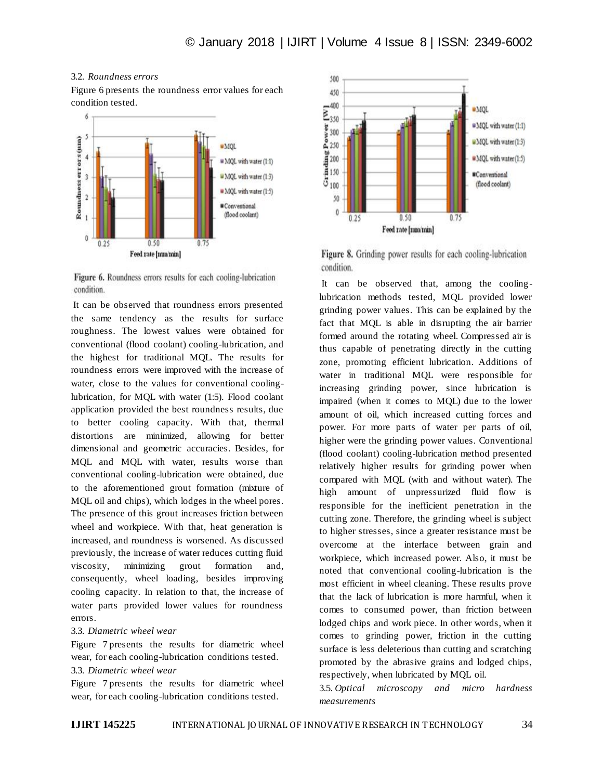### 3.2. *Roundness errors*

Figure 6 presents the roundness error values for each condition tested.



Figure 6. Roundness errors results for each cooling-lubrication condition.

It can be observed that roundness errors presented the same tendency as the results for surface roughness. The lowest values were obtained for conventional (flood coolant) cooling-lubrication, and the highest for traditional MQL. The results for roundness errors were improved with the increase of water, close to the values for conventional coolinglubrication, for MQL with water (1:5). Flood coolant application provided the best roundness results, due to better cooling capacity. With that, thermal distortions are minimized, allowing for better dimensional and geometric accuracies. Besides, for MQL and MQL with water, results worse than conventional cooling-lubrication were obtained, due to the aforementioned grout formation (mixture of MQL oil and chips), which lodges in the wheel pores. The presence of this grout increases friction between wheel and workpiece. With that, heat generation is increased, and roundness is worsened. As discussed previously, the increase of water reduces cutting fluid viscosity, minimizing grout formation and, consequently, wheel loading, besides improving cooling capacity. In relation to that, the increase of water parts provided lower values for roundness errors.

#### 3.3. *Diametric wheel wear*

Figure 7 presents the results for diametric wheel wear, for each cooling-lubrication conditions tested.

#### 3.3. *Diametric wheel wear*

Figure 7 presents the results for diametric wheel wear, for each cooling-lubrication conditions tested.



Figure 8. Grinding power results for each cooling-lubrication condition.

It can be observed that, among the coolinglubrication methods tested, MQL provided lower grinding power values. This can be explained by the fact that MQL is able in disrupting the air barrier formed around the rotating wheel. Compressed air is thus capable of penetrating directly in the cutting zone, promoting efficient lubrication. Additions of water in traditional MQL were responsible for increasing grinding power, since lubrication is impaired (when it comes to MQL) due to the lower amount of oil, which increased cutting forces and power. For more parts of water per parts of oil, higher were the grinding power values. Conventional (flood coolant) cooling-lubrication method presented relatively higher results for grinding power when compared with MQL (with and without water). The high amount of unpressurized fluid flow is responsible for the inefficient penetration in the cutting zone. Therefore, the grinding wheel is subject to higher stresses, since a greater resistance must be overcome at the interface between grain and workpiece, which increased power. Also, it must be noted that conventional cooling-lubrication is the most efficient in wheel cleaning. These results prove that the lack of lubrication is more harmful, when it comes to consumed power, than friction between lodged chips and work piece. In other words, when it comes to grinding power, friction in the cutting surface is less deleterious than cutting and scratching promoted by the abrasive grains and lodged chips, respectively, when lubricated by MQL oil.

3.5. *Optical microscopy and micro hardness measurements*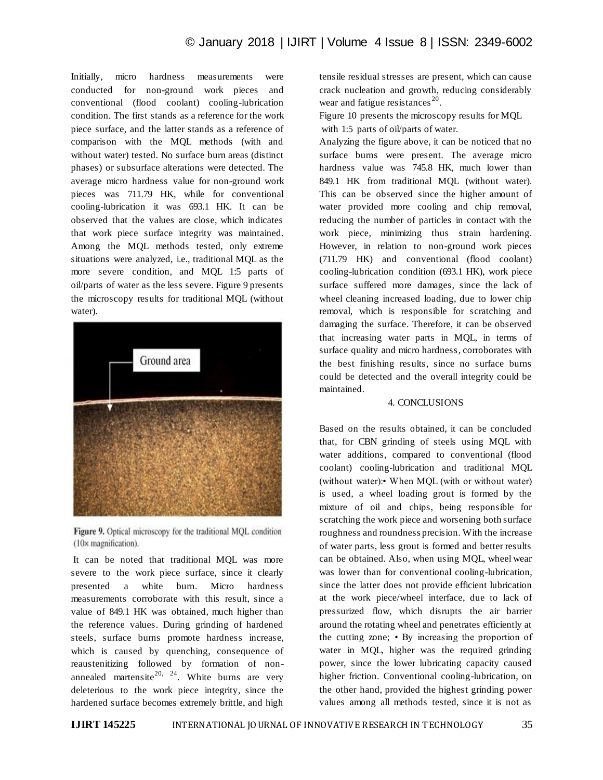Initially, micro hardness measurements were conducted for non-ground work pieces and conventional (flood coolant) cooling-lubrication condition. The first stands as a reference for the work piece surface, and the latter stands as a reference of comparison with the MQL methods (with and without water) tested. No surface burn areas (distinct phases) or subsurface alterations were detected. The average micro hardness value for non-ground work pieces was 711.79 HK, while for conventional cooling-lubrication it was 693.1 HK. It can be observed that the values are close, which indicates that work piece surface integrity was maintained. Among the MQL methods tested, only extreme situations were analyzed, i.e., traditional MQL as the more severe condition, and MQL 1:5 parts of oil/parts of water as the less severe. Figure 9 presents the microscopy results for traditional MQL (without water).





It can be noted that traditional MQL was more severe to the work piece surface, since it clearly presented a white burn. Micro hardness measurements corroborate with this result, since a value of 849.1 HK was obtained, much higher than the reference values. During grinding of hardened steels, surface burns promote hardness increase, which is caused by quenching, consequence of reaustenitizing followed by formation of nonannealed martensite<sup>20, 24</sup>. White burns are very deleterious to the work piece integrity, since the hardened surface becomes extremely brittle, and high

tensile residual stresses are present, which can cause crack nucleation and growth, reducing considerably wear and fatigue resistances<sup>20</sup>.

Figure 10 presents the microscopy results for MQL with 1:5 parts of oil/parts of water.

Analyzing the figure above, it can be noticed that no surface burns were present. The average micro hardness value was 745.8 HK, much lower than 849.1 HK from traditional MQL (without water). This can be observed since the higher amount of water provided more cooling and chip removal, reducing the number of particles in contact with the work piece, minimizing thus strain hardening. However, in relation to non-ground work pieces (711.79 HK) and conventional (flood coolant) cooling-lubrication condition (693.1 HK), work piece surface suffered more damages, since the lack of wheel cleaning increased loading, due to lower chip removal, which is responsible for scratching and damaging the surface. Therefore, it can be observed that increasing water parts in MQL, in terms of surface quality and micro hardness, corroborates with the best finishing results, since no surface burns could be detected and the overall integrity could be maintained.

## 4. CONCLUSIONS

Based on the results obtained, it can be concluded that, for CBN grinding of steels using MQL with water additions, compared to conventional (flood coolant) cooling-lubrication and traditional MQL (without water):• When MQL (with or without water) is used, a wheel loading grout is formed by the mixture of oil and chips, being responsible for scratching the work piece and worsening both surface roughness and roundness precision. With the increase of water parts, less grout is formed and better results can be obtained. Also, when using MQL, wheel wear was lower than for conventional cooling-lubrication, since the latter does not provide efficient lubrication at the work piece/wheel interface, due to lack of pressurized flow, which disrupts the air barrier around the rotating wheel and penetrates efficiently at the cutting zone; • By increasing the proportion of water in MQL, higher was the required grinding power, since the lower lubricating capacity caused higher friction. Conventional cooling-lubrication, on the other hand, provided the highest grinding power values among all methods tested, since it is not as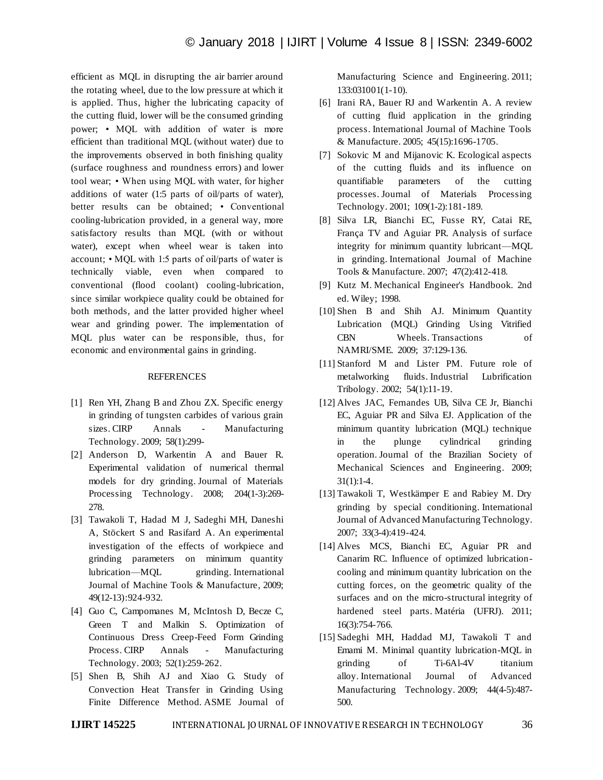efficient as MQL in disrupting the air barrier around the rotating wheel, due to the low pressure at which it is applied. Thus, higher the lubricating capacity of the cutting fluid, lower will be the consumed grinding power; • MQL with addition of water is more efficient than traditional MQL (without water) due to the improvements observed in both finishing quality (surface roughness and roundness errors) and lower tool wear; • When using MQL with water, for higher additions of water (1:5 parts of oil/parts of water), better results can be obtained; • Conventional cooling-lubrication provided, in a general way, more satisfactory results than MQL (with or without water), except when wheel wear is taken into account; • MQL with 1:5 parts of oil/parts of water is technically viable, even when compared to conventional (flood coolant) cooling-lubrication, since similar workpiece quality could be obtained for both methods, and the latter provided higher wheel wear and grinding power. The implementation of MQL plus water can be responsible, thus, for economic and environmental gains in grinding.

## **REFERENCES**

- [1] Ren YH, Zhang B and Zhou ZX. Specific energy in grinding of tungsten carbides of various grain sizes. CIRP Annals - Manufacturing Technology. 2009; 58(1):299-
- [2] Anderson D, Warkentin A and Bauer R. Experimental validation of numerical thermal models for dry grinding. Journal of Materials Processing Technology. 2008; 204(1-3):269- 278.
- [3] Tawakoli T, Hadad M J, Sadeghi MH, Daneshi A, Stöckert S and Rasifard A. An experimental investigation of the effects of workpiece and grinding parameters on minimum quantity lubrication—MQL grinding. International Journal of Machine Tools & Manufacture, 2009; 49(12-13):924-932.
- [4] Guo C, Campomanes M, McIntosh D, Becze C, Green T and Malkin S. Optimization of Continuous Dress Creep-Feed Form Grinding Process. CIRP Annals - Manufacturing Technology. 2003; 52(1):259-262.
- [5] Shen B, Shih AJ and Xiao G. Study of Convection Heat Transfer in Grinding Using Finite Difference Method. ASME Journal of

Manufacturing Science and Engineering. 2011; 133:031001(1-10).

- [6] Irani RA, Bauer RJ and Warkentin A. A review of cutting fluid application in the grinding process. International Journal of Machine Tools & Manufacture. 2005; 45(15):1696-1705.
- [7] Sokovic M and Mijanovic K. Ecological aspects of the cutting fluids and its influence on quantifiable parameters of the cutting processes. Journal of Materials Processing Technology. 2001; 109(1-2):181-189.
- [8] Silva LR, Bianchi EC, Fusse RY, Catai RE, França TV and Aguiar PR. Analysis of surface integrity for minimum quantity lubricant—MQL in grinding. International Journal of Machine Tools & Manufacture. 2007; 47(2):412-418.
- [9] Kutz M. Mechanical Engineer's Handbook. 2nd ed. Wiley; 1998.
- [10] Shen B and Shih AJ. Minimum Quantity Lubrication (MQL) Grinding Using Vitrified CBN Wheels. Transactions of NAMRI/SME. 2009; 37:129-136.
- [11] Stanford M and Lister PM. Future role of metalworking fluids. Industrial Lubrification Tribology. 2002; 54(1):11-19.
- [12] Alves JAC, Fernandes UB, Silva CE Jr, Bianchi EC, Aguiar PR and Silva EJ. Application of the minimum quantity lubrication (MQL) technique in the plunge cylindrical grinding operation. Journal of the Brazilian Society of Mechanical Sciences and Engineering. 2009; 31(1):1-4.
- [13] Tawakoli T, Westkämper E and Rabiey M. Dry grinding by special conditioning. International Journal of Advanced Manufacturing Technology. 2007; 33(3-4):419-424.
- [14] Alves MCS, Bianchi EC, Aguiar PR and Canarim RC. Influence of optimized lubricationcooling and minimum quantity lubrication on the cutting forces, on the geometric quality of the surfaces and on the micro-structural integrity of hardened steel parts. Matéria (UFRJ). 2011; 16(3):754-766.
- [15] Sadeghi MH, Haddad MJ, Tawakoli T and Emami M. Minimal quantity lubrication-MQL in grinding of Ti-6Al-4V titanium alloy. International Journal of Advanced Manufacturing Technology. 2009; 44(4-5):487- 500.